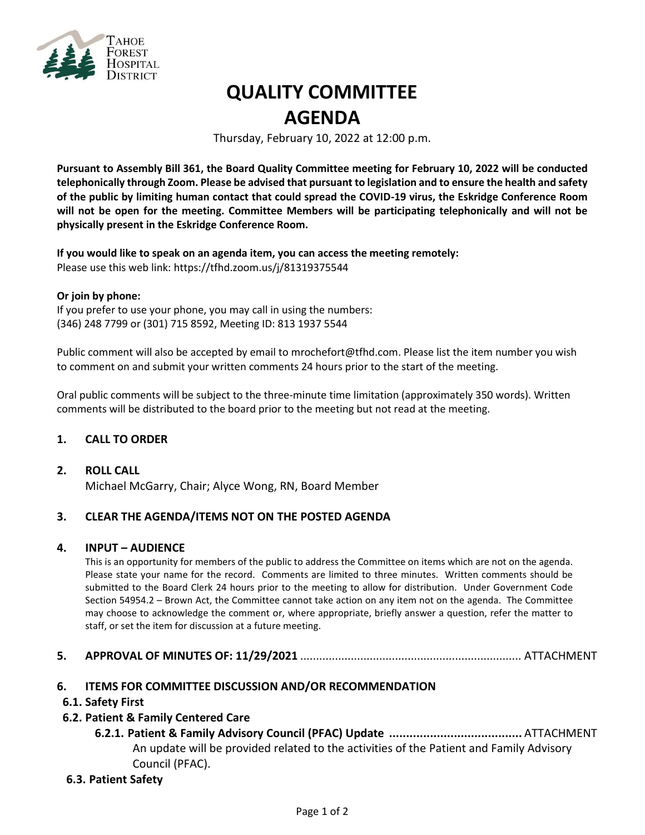

# **QUALITY COMMITTEE AGENDA**

Thursday, February 10, 2022 at 12:00 p.m.

**Pursuant to Assembly Bill 361, the Board Quality Committee meeting for February 10, 2022 will be conducted telephonically through Zoom. Please be advised that pursuant to legislation and to ensure the health and safety of the public by limiting human contact that could spread the COVID-19 virus, the Eskridge Conference Room will not be open for the meeting. Committee Members will be participating telephonically and will not be physically present in the Eskridge Conference Room.**

**If you would like to speak on an agenda item, you can access the meeting remotely:** Please use this web link: <https://tfhd.zoom.us/j/81319375544>

#### **Or join by phone:**

If you prefer to use your phone, you may call in using the numbers: (346) 248 7799 or (301) 715 8592, Meeting ID: 813 1937 5544

Public comment will also be accepted by email to mrochefort@tfhd.com. Please list the item number you wish to comment on and submit your written comments 24 hours prior to the start of the meeting.

Oral public comments will be subject to the three-minute time limitation (approximately 350 words). Written comments will be distributed to the board prior to the meeting but not read at the meeting.

#### **1. CALL TO ORDER**

#### **2. ROLL CALL**

Michael McGarry, Chair; Alyce Wong, RN, Board Member

#### **3. CLEAR THE AGENDA/ITEMS NOT ON THE POSTED AGENDA**

#### **4. INPUT – AUDIENCE**

This is an opportunity for members of the public to address the Committee on items which are not on the agenda. Please state your name for the record. Comments are limited to three minutes. Written comments should be submitted to the Board Clerk 24 hours prior to the meeting to allow for distribution. Under Government Code Section 54954.2 – Brown Act, the Committee cannot take action on any item not on the agenda. The Committee may choose to acknowledge the comment or, where appropriate, briefly answer a question, refer the matter to staff, or set the item for discussion at a future meeting.

- **5. APPROVAL OF MINUTES OF: 11/29/2021** ...................................................................... ATTACHMENT
- **6. ITEMS FOR COMMITTEE DISCUSSION AND/OR RECOMMENDATION**

#### **6.1. Safety First**

#### **6.2. Patient & Family Centered Care**

**6.2.1. Patient & Family Advisory Council (PFAC) Update .......................................** ATTACHMENT An update will be provided related to the activities of the Patient and Family Advisory Council (PFAC).

#### **6.3. Patient Safety**